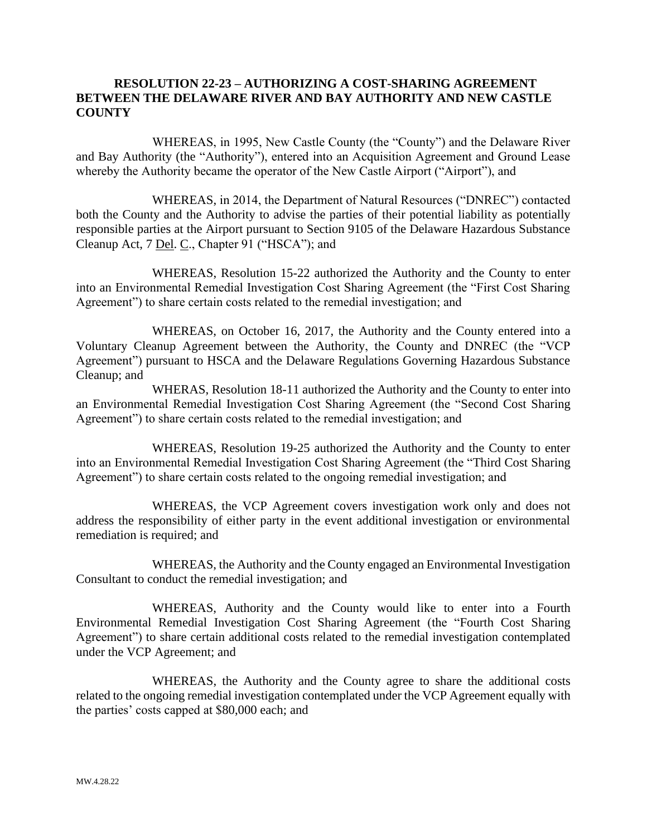## **RESOLUTION 22-23 – AUTHORIZING A COST-SHARING AGREEMENT BETWEEN THE DELAWARE RIVER AND BAY AUTHORITY AND NEW CASTLE COUNTY**

WHEREAS, in 1995, New Castle County (the "County") and the Delaware River and Bay Authority (the "Authority"), entered into an Acquisition Agreement and Ground Lease whereby the Authority became the operator of the New Castle Airport ("Airport"), and

WHEREAS, in 2014, the Department of Natural Resources ("DNREC") contacted both the County and the Authority to advise the parties of their potential liability as potentially responsible parties at the Airport pursuant to Section 9105 of the Delaware Hazardous Substance Cleanup Act, 7 Del. C., Chapter 91 ("HSCA"); and

WHEREAS, Resolution 15-22 authorized the Authority and the County to enter into an Environmental Remedial Investigation Cost Sharing Agreement (the "First Cost Sharing Agreement") to share certain costs related to the remedial investigation; and

WHEREAS, on October 16, 2017, the Authority and the County entered into a Voluntary Cleanup Agreement between the Authority, the County and DNREC (the "VCP Agreement") pursuant to HSCA and the Delaware Regulations Governing Hazardous Substance Cleanup; and

WHERAS, Resolution 18-11 authorized the Authority and the County to enter into an Environmental Remedial Investigation Cost Sharing Agreement (the "Second Cost Sharing Agreement") to share certain costs related to the remedial investigation; and

WHEREAS, Resolution 19-25 authorized the Authority and the County to enter into an Environmental Remedial Investigation Cost Sharing Agreement (the "Third Cost Sharing Agreement") to share certain costs related to the ongoing remedial investigation; and

WHEREAS, the VCP Agreement covers investigation work only and does not address the responsibility of either party in the event additional investigation or environmental remediation is required; and

WHEREAS, the Authority and the County engaged an Environmental Investigation Consultant to conduct the remedial investigation; and

WHEREAS, Authority and the County would like to enter into a Fourth Environmental Remedial Investigation Cost Sharing Agreement (the "Fourth Cost Sharing Agreement") to share certain additional costs related to the remedial investigation contemplated under the VCP Agreement; and

WHEREAS, the Authority and the County agree to share the additional costs related to the ongoing remedial investigation contemplated under the VCP Agreement equally with the parties' costs capped at \$80,000 each; and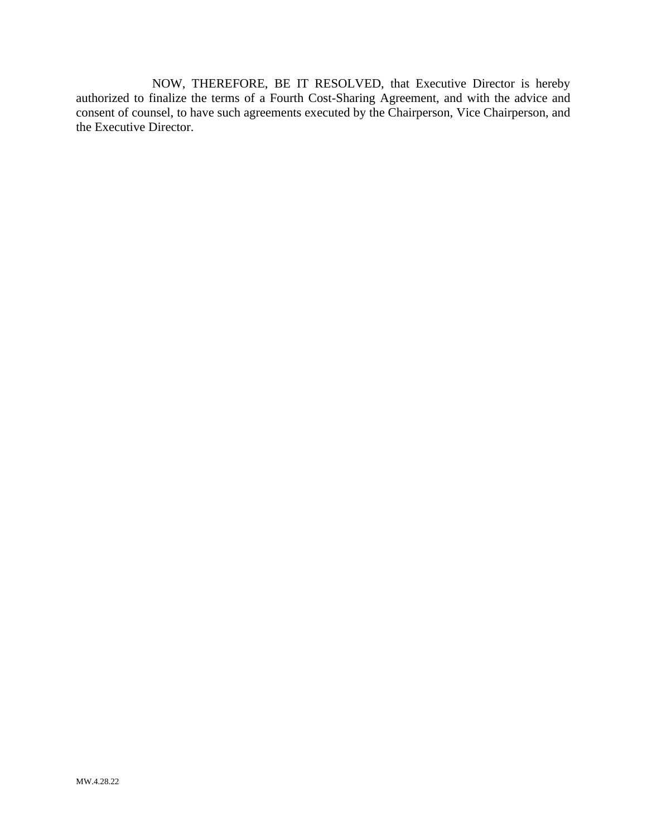NOW, THEREFORE, BE IT RESOLVED, that Executive Director is hereby authorized to finalize the terms of a Fourth Cost-Sharing Agreement, and with the advice and consent of counsel, to have such agreements executed by the Chairperson, Vice Chairperson, and the Executive Director.